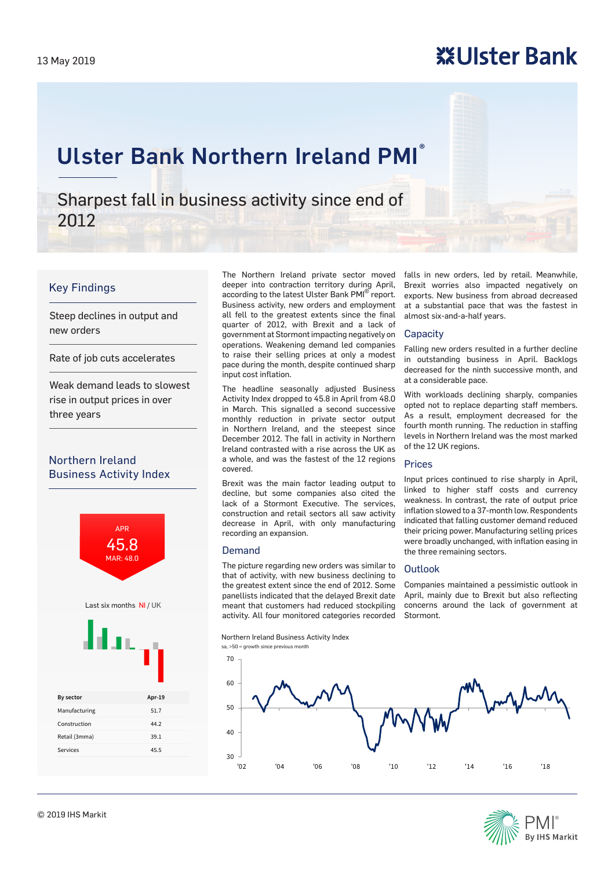# **※Ulster Bank**

# Ulster Bank Northern Ireland PMI®

Sharpest fall in business activity since end of 2012

## Key Findings

Steep declines in output and new orders

Rate of job cuts accelerates

Weak demand leads to slowest rise in output prices in over three years

## Northern Ireland Business Activity Index



The Northern Ireland private sector moved deeper into contraction territory during April, according to the latest Ulster Bank PMI<sup>®</sup> report. Business activity, new orders and employment all fell to the greatest extents since the final quarter of 2012, with Brexit and a lack of government at Stormont impacting negatively on operations. Weakening demand led companies to raise their selling prices at only a modest pace during the month, despite continued sharp input cost inflation.

The headline seasonally adjusted Business Activity Index dropped to 45.8 in April from 48.0 in March. This signalled a second successive monthly reduction in private sector output in Northern Ireland, and the steepest since December 2012. The fall in activity in Northern Ireland contrasted with a rise across the UK as a whole, and was the fastest of the 12 regions covered.

Brexit was the main factor leading output to decline, but some companies also cited the lack of a Stormont Executive. The services, construction and retail sectors all saw activity decrease in April, with only manufacturing recording an expansion.

### Demand

The picture regarding new orders was similar to that of activity, with new business declining to the greatest extent since the end of 2012. Some panellists indicated that the delayed Brexit date meant that customers had reduced stockpiling activity. All four monitored categories recorded

Northern Ireland Business Activity Index sa, >50 = growth since previous month

30  $\overline{40}$ 50 60 70 '02 '04 '06 '08 '10 '12 '14 '16 '18



falls in new orders, led by retail. Meanwhile, Brexit worries also impacted negatively on exports. New business from abroad decreased at a substantial pace that was the fastest in almost six-and-a-half years.

### **Capacity**

Falling new orders resulted in a further decline in outstanding business in April. Backlogs decreased for the ninth successive month, and at a considerable pace.

With workloads declining sharply, companies opted not to replace departing staff members. As a result, employment decreased for the fourth month running. The reduction in staffing levels in Northern Ireland was the most marked of the 12 UK regions.

### Prices

Input prices continued to rise sharply in April, linked to higher staff costs and currency weakness. In contrast, the rate of output price inflation slowed to a 37-month low. Respondents indicated that falling customer demand reduced their pricing power. Manufacturing selling prices were broadly unchanged, with inflation easing in the three remaining sectors.

### Outlook

Companies maintained a pessimistic outlook in April, mainly due to Brexit but also reflecting concerns around the lack of government at Stormont.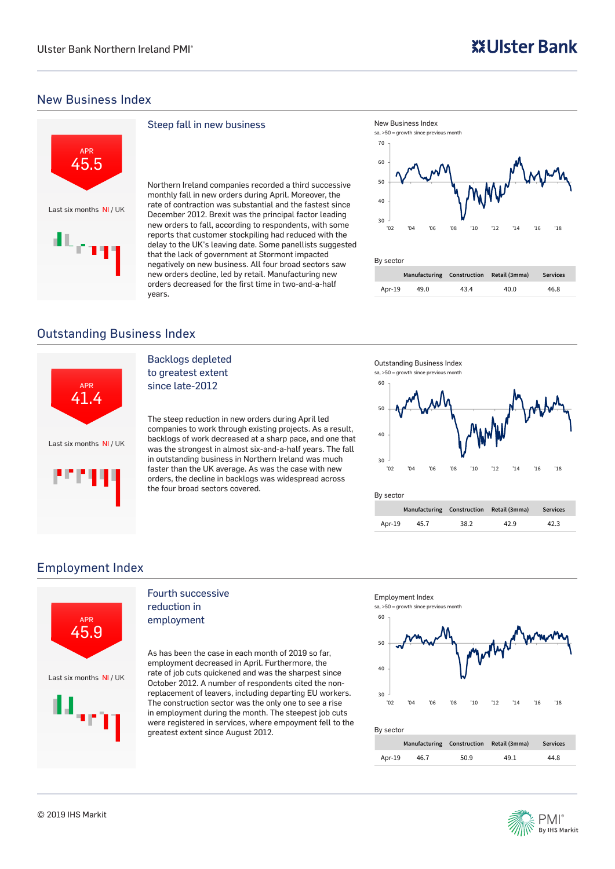## New Business Index



### Steep fall in new business

Northern Ireland companies recorded a third successive monthly fall in new orders during April. Moreover, the rate of contraction was substantial and the fastest since December 2012. Brexit was the principal factor leading new orders to fall, according to respondents, with some reports that customer stockpiling had reduced with the delay to the UK's leaving date. Some panellists suggested that the lack of government at Stormont impacted negatively on new business. All four broad sectors saw new orders decline, led by retail. Manufacturing new orders decreased for the first time in two-and-a-half years.



### By sector **Manufacturing Construction Retail (3mma) Services** Apr-19 49.0 43.4 40.0 46.8

## Outstanding Business Index



## Backlogs depleted to greatest extent

since late-2012

The steep reduction in new orders during April led companies to work through existing projects. As a result, backlogs of work decreased at a sharp pace, and one that was the strongest in almost six-and-a-half years. The fall in outstanding business in Northern Ireland was much faster than the UK average. As was the case with new orders, the decline in backlogs was widespread across the four broad sectors covered.



30 '02 '04 '06 '08 '10 '12 '14 '16 '18

By sector

|        | Manufacturing Construction Retail (3mma) |      |      | <b>Services</b> |
|--------|------------------------------------------|------|------|-----------------|
| Apr-19 | 45.7                                     | 38.2 | 42.9 | 42.3            |

## Employment Index



### Fourth successive reduction in employment

As has been the case in each month of 2019 so far, employment decreased in April. Furthermore, the rate of job cuts quickened and was the sharpest since October 2012. A number of respondents cited the nonreplacement of leavers, including departing EU workers. The construction sector was the only one to see a rise in employment during the month. The steepest job cuts were registered in services, where empoyment fell to the greatest extent since August 2012.



### By sector

|        | Manufacturing Construction Retail (3mma) |      |      | <b>Services</b> |
|--------|------------------------------------------|------|------|-----------------|
| Apr-19 | 46.7                                     | 50.9 | 49.1 | 44.8            |

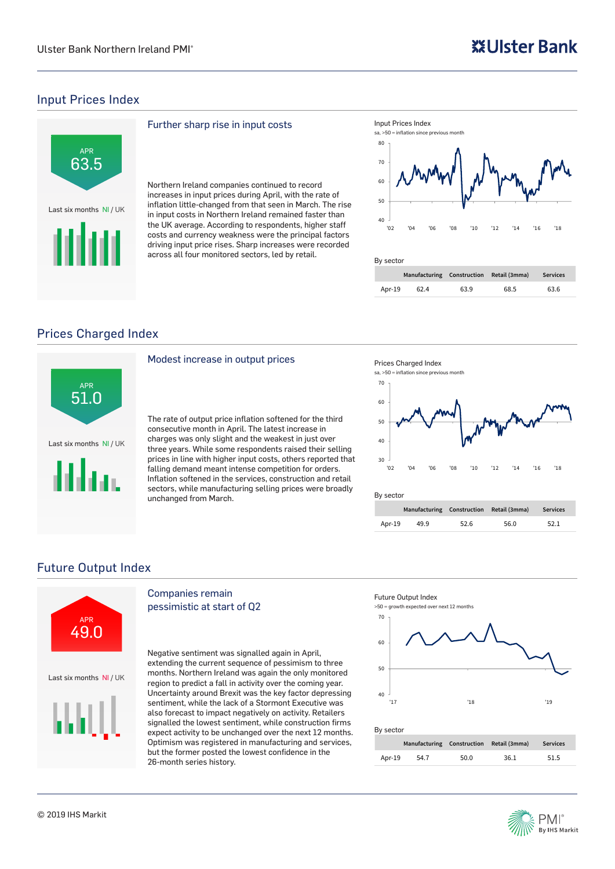## Input Prices Index



### Further sharp rise in input costs

Northern Ireland companies continued to record increases in input prices during April, with the rate of inflation little-changed from that seen in March. The rise in input costs in Northern Ireland remained faster than the UK average. According to respondents, higher staff costs and currency weakness were the principal factors driving input price rises. Sharp increases were recorded across all four monitored sectors, led by retail.



## By sector

|        | Manufacturing Construction Retail (3mma) |      |      | <b>Services</b> |  |
|--------|------------------------------------------|------|------|-----------------|--|
| Apr-19 | 62.4                                     | 63.9 | 68.5 | 63.6            |  |

## Prices Charged Index



### Modest increase in output prices

The rate of output price inflation softened for the third consecutive month in April. The latest increase in charges was only slight and the weakest in just over three years. While some respondents raised their selling prices in line with higher input costs, others reported that falling demand meant intense competition for orders. Inflation softened in the services, construction and retail sectors, while manufacturing selling prices were broadly unchanged from March.



### By sector

|        |      | Manufacturing Construction Retail (3mma) |      | <b>Services</b> |  |  |
|--------|------|------------------------------------------|------|-----------------|--|--|
| Apr-19 | 49.9 | 52.6                                     | 56.0 | 52.1            |  |  |

## Future Output Index



## Companies remain pessimistic at start of Q2

Negative sentiment was signalled again in April, extending the current sequence of pessimism to three months. Northern Ireland was again the only monitored region to predict a fall in activity over the coming year. Uncertainty around Brexit was the key factor depressing sentiment, while the lack of a Stormont Executive was also forecast to impact negatively on activity. Retailers signalled the lowest sentiment, while construction firms expect activity to be unchanged over the next 12 months. Optimism was registered in manufacturing and services, but the former posted the lowest confidence in the 26-month series history.



| Manufacturing Construction Retail (3mma) |      |      |      | <b>Services</b> |  |
|------------------------------------------|------|------|------|-----------------|--|
| Apr-19                                   | 54.7 | 50.0 | 36.1 | 51.5            |  |

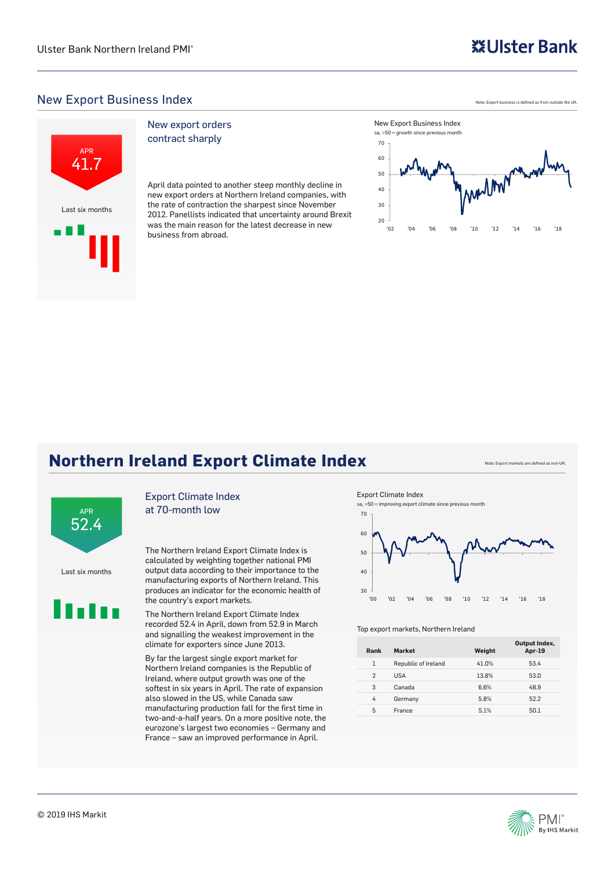## **※Ulster Bank**

## New Export Business Index



### New export orders contract sharply

April data pointed to another steep monthly decline in new export orders at Northern Ireland companies, with the rate of contraction the sharpest since November 2012. Panellists indicated that uncertainty around Brexit was the main reason for the latest decrease in new business from abroad.

Note: Export business is defined as from outside the UK.



New Export Business Index

## **Northern Ireland Export Climate Index** Note: Export markets are defined as no



Last six months



### Export Climate Index at 70-month low

The Northern Ireland Export Climate Index is calculated by weighting together national PMI output data according to their importance to the manufacturing exports of Northern Ireland. This produces an indicator for the economic health of the country's export markets.

The Northern Ireland Export Climate Index recorded 52.4 in April, down from 52.9 in March and signalling the weakest improvement in the climate for exporters since June 2013.

By far the largest single export market for Northern Ireland companies is the Republic of Ireland, where output growth was one of the softest in six years in April. The rate of expansion also slowed in the US, while Canada saw manufacturing production fall for the first time in two-and-a-half years. On a more positive note, the eurozone's largest two economies – Germany and France – saw an improved performance in April.





### Top export markets, Northern Ireland

| Rank           | <b>Market</b>       | Weight | Output Index,<br>Apr-19 |
|----------------|---------------------|--------|-------------------------|
| $\mathbf{1}$   | Republic of Ireland | 41.0%  | 53.4                    |
| $\overline{2}$ | <b>USA</b>          | 13.8%  | 53.0                    |
| 3              | Canada              | 6.6%   | 48.9                    |
| 4              | Germany             | 5.8%   | 52.2                    |
| 5              | France              | 5.1%   | 50.1                    |

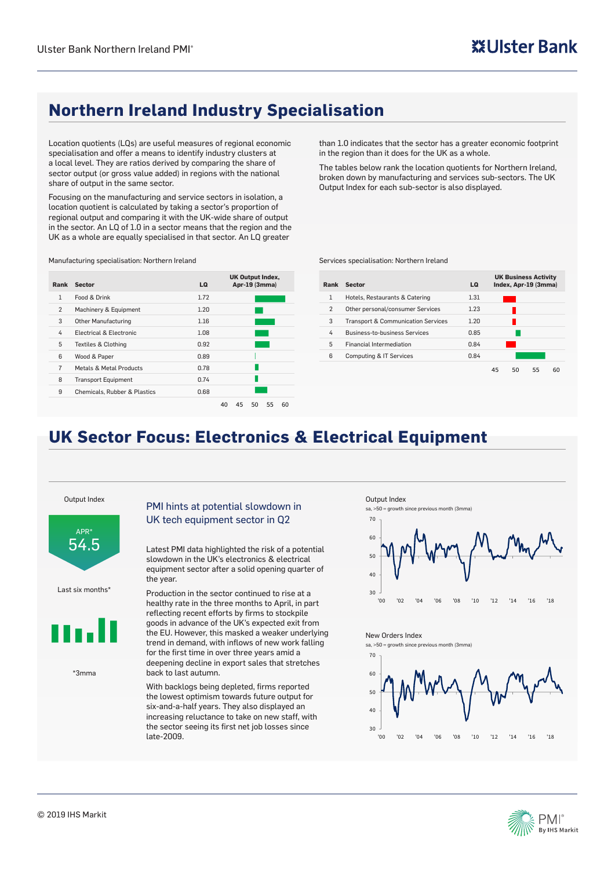## **Northern Ireland Industry Specialisation**

Location quotients (LQs) are useful measures of regional economic specialisation and offer a means to identify industry clusters at a local level. They are ratios derived by comparing the share of sector output (or gross value added) in regions with the national share of output in the same sector.

Focusing on the manufacturing and service sectors in isolation, a location quotient is calculated by taking a sector's proportion of regional output and comparing it with the UK-wide share of output in the sector. An LQ of 1.0 in a sector means that the region and the UK as a whole are equally specialised in that sector. An LQ greater

Manufacturing specialisation: Northern Ireland

| Rank           | <b>Sector</b>                           | LQ.  | <b>UK Output Index,</b><br>Apr-19 (3mma) |
|----------------|-----------------------------------------|------|------------------------------------------|
| $\mathbf{1}$   | Food & Drink                            | 1.72 |                                          |
| 2              | Machinery & Equipment                   | 1.20 |                                          |
| 3              | <b>Other Manufacturing</b>              | 1.16 |                                          |
| 4              | Electrical & Electronic                 | 1.08 |                                          |
| 5              | <b>Textiles &amp; Clothing</b>          | 0.92 |                                          |
| 6              | Wood & Paper                            | 0.89 |                                          |
| $\overline{7}$ | Metals & Metal Products                 | 0.78 |                                          |
| 8              | <b>Transport Equipment</b>              | 0.74 |                                          |
| 9              | <b>Chemicals, Rubber &amp; Plastics</b> | 0.68 |                                          |
|                |                                         | 40   | 50<br>55<br>60<br>45                     |

than 1.0 indicates that the sector has a greater economic footprint in the region than it does for the UK as a whole.

The tables below rank the location quotients for Northern Ireland, broken down by manufacturing and services sub-sectors. The UK Output Index for each sub-sector is also displayed.

Services specialisation: Northern Ireland

| Rank           | Sector                                        | LQ   |    |    | <b>UK Business Activity</b><br>Index, Apr-19 (3mma) |    |
|----------------|-----------------------------------------------|------|----|----|-----------------------------------------------------|----|
| 1              | Hotels, Restaurants & Catering                | 1.31 |    |    |                                                     |    |
| $\overline{2}$ | Other personal/consumer Services              | 1.23 |    |    |                                                     |    |
| 3              | <b>Transport &amp; Communication Services</b> | 1.20 |    |    |                                                     |    |
| 4              | <b>Business-to-business Services</b>          | 0.85 |    |    |                                                     |    |
| 5              | <b>Financial Intermediation</b>               | 0.84 |    |    |                                                     |    |
| 6              | <b>Computing &amp; IT Services</b>            | 0.84 |    |    |                                                     |    |
|                |                                               |      | 45 | 50 | 55                                                  | 60 |

## **UK Sector Focus: Electronics & Electrical Equipment**

Output Index



Last six months\*



\*3mma

### PMI hints at potential slowdown in UK tech equipment sector in Q2

Latest PMI data highlighted the risk of a potential slowdown in the UK's electronics & electrical equipment sector after a solid opening quarter of the year.

Production in the sector continued to rise at a healthy rate in the three months to April, in part reflecting recent efforts by firms to stockpile goods in advance of the UK's expected exit from the EU. However, this masked a weaker underlying trend in demand, with inflows of new work falling for the first time in over three years amid a deepening decline in export sales that stretches back to last autumn.

With backlogs being depleted, firms reported the lowest optimism towards future output for six-and-a-half years. They also displayed an increasing reluctance to take on new staff, with the sector seeing its first net job losses since late-2009.

Output Index

sa, >50 = growth since previous month (3mma)



### New Orders Index

sa, >50 = growth since previous month (3mma)



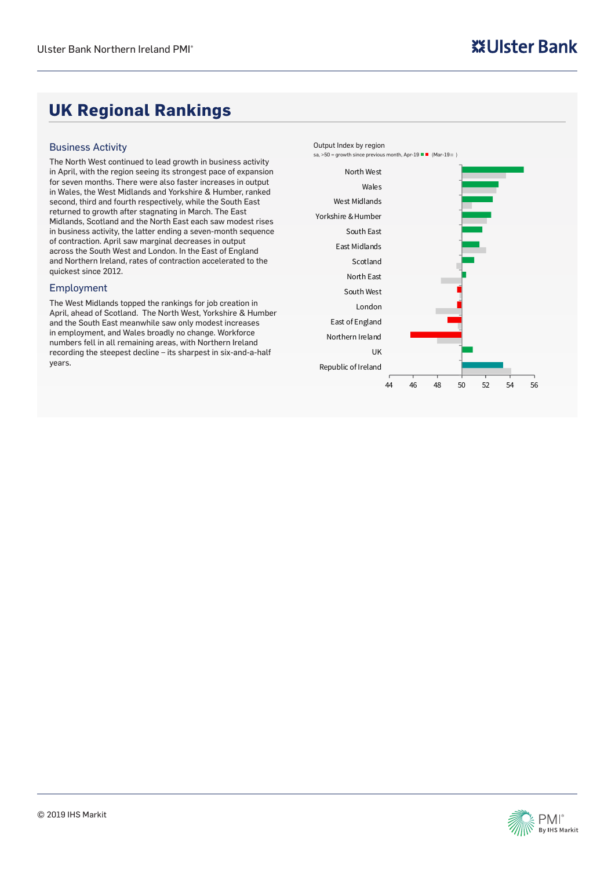## **UK Regional Rankings**

### Business Activity

The North West continued to lead growth in business activity in April, with the region seeing its strongest pace of expansion for seven months. There were also faster increases in output in Wales, the West Midlands and Yorkshire & Humber, ranked second, third and fourth respectively, while the South East returned to growth after stagnating in March. The East Midlands, Scotland and the North East each saw modest rises in business activity, the latter ending a seven-month sequence of contraction. April saw marginal decreases in output across the South West and London. In the East of England and Northern Ireland, rates of contraction accelerated to the quickest since 2012.

### Employment

The West Midlands topped the rankings for job creation in April, ahead of Scotland. The North West, Yorkshire & Humber and the South East meanwhile saw only modest increases in employment, and Wales broadly no change. Workforce numbers fell in all remaining areas, with Northern Ireland recording the steepest decline – its sharpest in six-and-a-half years.